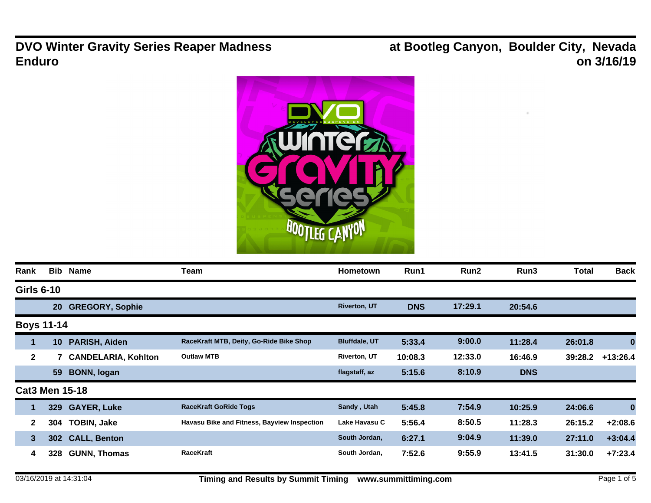**DVO Winter Gravity Series Reaper Madness Enduro**

**at Bootleg Canyon, Boulder City, Nevada on 3/16/19**



| Rank                  | <b>Bib</b>      | Name                       | Team                                        | Hometown             | Run1       | Run2    | Run3       | <b>Total</b> | <b>Back</b> |
|-----------------------|-----------------|----------------------------|---------------------------------------------|----------------------|------------|---------|------------|--------------|-------------|
| <b>Girls 6-10</b>     |                 |                            |                                             |                      |            |         |            |              |             |
|                       | <b>20</b>       | <b>GREGORY, Sophie</b>     |                                             | <b>Riverton, UT</b>  | <b>DNS</b> | 17:29.1 | 20:54.6    |              |             |
| <b>Boys 11-14</b>     |                 |                            |                                             |                      |            |         |            |              |             |
| 1                     | 10 <sup>°</sup> | PARISH, Aiden              | RaceKraft MTB, Deity, Go-Ride Bike Shop     | <b>Bluffdale, UT</b> | 5:33.4     | 9:00.0  | 11:28.4    | 26:01.8      | 0           |
| $\mathbf{2}$          |                 | <b>CANDELARIA, Kohlton</b> | <b>Outlaw MTB</b>                           | <b>Riverton, UT</b>  | 10:08.3    | 12:33.0 | 16:46.9    | 39:28.2      | $+13:26.4$  |
|                       | 59              | <b>BONN, logan</b>         |                                             | flagstaff, az        | 5:15.6     | 8:10.9  | <b>DNS</b> |              |             |
| <b>Cat3 Men 15-18</b> |                 |                            |                                             |                      |            |         |            |              |             |
| $\blacksquare$        | 329             | <b>GAYER, Luke</b>         | <b>RaceKraft GoRide Togs</b>                | Sandy, Utah          | 5:45.8     | 7:54.9  | 10:25.9    | 24:06.6      | 0           |
| $\mathbf{2}$          | 304             | <b>TOBIN, Jake</b>         | Havasu Bike and Fitness, Bayview Inspection | Lake Havasu C        | 5:56.4     | 8:50.5  | 11:28.3    | 26:15.2      | $+2:08.6$   |
| 3                     | <b>302</b>      | <b>CALL, Benton</b>        |                                             | South Jordan,        | 6:27.1     | 9:04.9  | 11:39.0    | 27:11.0      | $+3:04.4$   |
| 4                     | 328             | <b>GUNN, Thomas</b>        | RaceKraft                                   | South Jordan,        | 7:52.6     | 9:55.9  | 13:41.5    | 31:30.0      | $+7:23.4$   |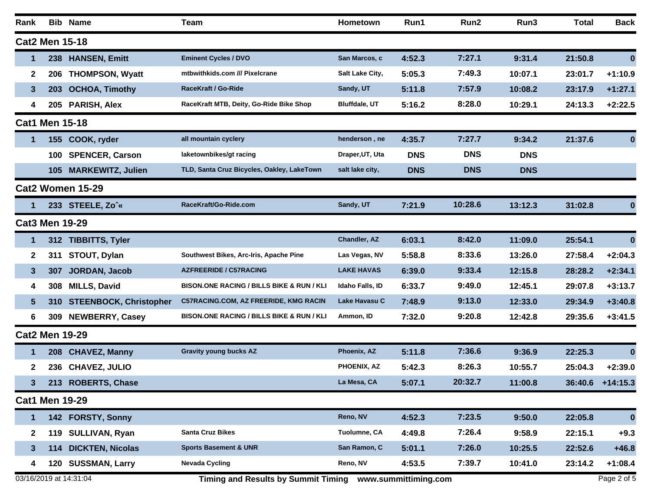| Rank                  |                                                                                    | <b>Bib Name</b>               | <b>Team</b>                                          | <b>Hometown</b>      | Run1       | Run2       | Run3       | <b>Total</b> | <b>Back</b>      |
|-----------------------|------------------------------------------------------------------------------------|-------------------------------|------------------------------------------------------|----------------------|------------|------------|------------|--------------|------------------|
| <b>Cat2 Men 15-18</b> |                                                                                    |                               |                                                      |                      |            |            |            |              |                  |
| 1                     |                                                                                    | 238 HANSEN, Emitt             | <b>Eminent Cycles / DVO</b>                          | San Marcos, c        | 4:52.3     | 7:27.1     | 9:31.4     | 21:50.8      | $\bf{0}$         |
| 2                     | 206                                                                                | <b>THOMPSON, Wyatt</b>        | mtbwithkids.com /// Pixelcrane                       | Salt Lake City,      | 5:05.3     | 7:49.3     | 10:07.1    | 23:01.7      | $+1:10.9$        |
| $\mathbf{3}$          | 203                                                                                | <b>OCHOA, Timothy</b>         | RaceKraft / Go-Ride                                  | Sandy, UT            | 5:11.8     | 7:57.9     | 10:08.2    | 23:17.9      | $+1:27.1$        |
| 4                     |                                                                                    | 205 PARISH, Alex              | RaceKraft MTB, Deity, Go-Ride Bike Shop              | <b>Bluffdale, UT</b> | 5:16.2     | 8:28.0     | 10:29.1    | 24:13.3      | $+2:22.5$        |
| <b>Cat1 Men 15-18</b> |                                                                                    |                               |                                                      |                      |            |            |            |              |                  |
| 1                     | 155                                                                                | COOK, ryder                   | all mountain cyclery                                 | henderson, ne        | 4:35.7     | 7:27.7     | 9:34.2     | 21:37.6      | $\bf{0}$         |
|                       | 100                                                                                | <b>SPENCER, Carson</b>        | laketownbikes/gt racing                              | Draper, UT, Uta      | <b>DNS</b> | <b>DNS</b> | <b>DNS</b> |              |                  |
|                       | 105                                                                                | <b>MARKEWITZ, Julien</b>      | TLD, Santa Cruz Bicycles, Oakley, LakeTown           | salt lake city,      | <b>DNS</b> | <b>DNS</b> | <b>DNS</b> |              |                  |
|                       |                                                                                    | Cat2 Women 15-29              |                                                      |                      |            |            |            |              |                  |
|                       |                                                                                    | 233 STEELE, Zo <sup>*</sup> « | RaceKraft/Go-Ride.com                                | Sandy, UT            | 7:21.9     | 10:28.6    | 13:12.3    | 31:02.8      | $\bf{0}$         |
| <b>Cat3 Men 19-29</b> |                                                                                    |                               |                                                      |                      |            |            |            |              |                  |
| 1                     |                                                                                    | 312 TIBBITTS, Tyler           |                                                      | Chandler, AZ         | 6:03.1     | 8:42.0     | 11:09.0    | 25:54.1      | $\boldsymbol{0}$ |
| $\mathbf{2}$          | 311                                                                                | STOUT, Dylan                  | Southwest Bikes, Arc-Iris, Apache Pine               | Las Vegas, NV        | 5:58.8     | 8:33.6     | 13:26.0    | 27:58.4      | $+2:04.3$        |
| 3                     | 307                                                                                | JORDAN, Jacob                 | <b>AZFREERIDE / C57RACING</b>                        | <b>LAKE HAVAS</b>    | 6:39.0     | 9:33.4     | 12:15.8    | 28:28.2      | $+2:34.1$        |
| 4                     | 308                                                                                | <b>MILLS, David</b>           | <b>BISON.ONE RACING / BILLS BIKE &amp; RUN / KLI</b> | Idaho Falls, ID      | 6:33.7     | 9:49.0     | 12:45.1    | 29:07.8      | $+3:13.7$        |
| 5                     | <b>310</b>                                                                         | <b>STEENBOCK, Christopher</b> | <b>C57RACING.COM, AZ FREERIDE, KMG RACIN</b>         | Lake Havasu C        | 7:48.9     | 9:13.0     | 12:33.0    | 29:34.9      | $+3:40.8$        |
| 6                     |                                                                                    | 309 NEWBERRY, Casey           | <b>BISON.ONE RACING / BILLS BIKE &amp; RUN / KLI</b> | Ammon, ID            | 7:32.0     | 9:20.8     | 12:42.8    | 29:35.6      | $+3:41.5$        |
| <b>Cat2 Men 19-29</b> |                                                                                    |                               |                                                      |                      |            |            |            |              |                  |
| 1                     |                                                                                    | 208 CHAVEZ, Manny             | <b>Gravity young bucks AZ</b>                        | Phoenix, AZ          | 5:11.8     | 7:36.6     | 9:36.9     | 22:25.3      | $\bf{0}$         |
| $\mathbf{2}$          | 236                                                                                | <b>CHAVEZ, JULIO</b>          |                                                      | PHOENIX, AZ          | 5:42.3     | 8:26.3     | 10:55.7    | 25:04.3      | $+2:39.0$        |
| 3                     |                                                                                    | 213 ROBERTS, Chase            |                                                      | La Mesa, CA          | 5:07.1     | 20:32.7    | 11:00.8    |              | 36:40.6 +14:15.3 |
| <b>Cat1 Men 19-29</b> |                                                                                    |                               |                                                      |                      |            |            |            |              |                  |
| 1                     |                                                                                    | 142 FORSTY, Sonny             |                                                      | Reno, NV             | 4:52.3     | 7:23.5     | 9:50.0     | 22:05.8      | $\bf{0}$         |
| $\mathbf{2}$          | 119                                                                                | <b>SULLIVAN, Ryan</b>         | <b>Santa Cruz Bikes</b>                              | Tuolumne, CA         | 4:49.8     | 7:26.4     | 9:58.9     | 22:15.1      | $+9.3$           |
| $\mathbf{3}$          | 114                                                                                | <b>DICKTEN, Nicolas</b>       | <b>Sports Basement &amp; UNR</b>                     | San Ramon, C         | 5:01.1     | 7:26.0     | 10:25.5    | 22:52.6      | $+46.8$          |
| 4                     |                                                                                    | 120 SUSSMAN, Larry            | <b>Nevada Cycling</b>                                | Reno, NV             | 4:53.5     | 7:39.7     | 10:41.0    | 23:14.2      | $+1:08.4$        |
|                       | 03/16/2019 at 14:31:04<br>Timing and Results by Summit Timing www.summittiming.com |                               |                                                      |                      |            |            |            | Page 2 of 5  |                  |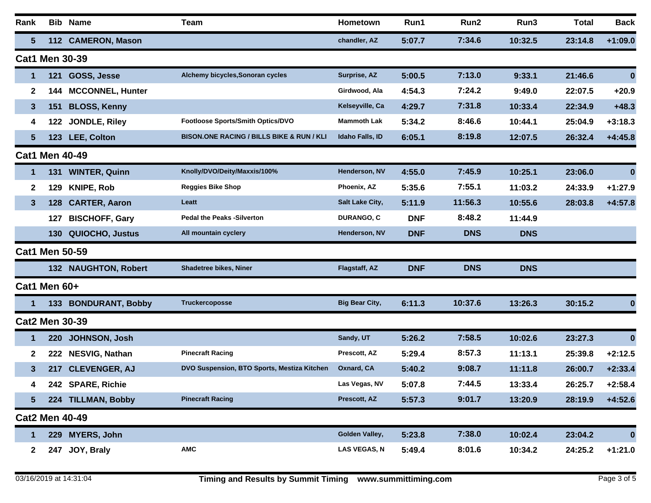| Rank            | Bib                   | <b>Name</b>             | Team                                                 | Hometown              | Run1       | Run2       | Run3       | <b>Total</b> | <b>Back</b> |
|-----------------|-----------------------|-------------------------|------------------------------------------------------|-----------------------|------------|------------|------------|--------------|-------------|
| $5\phantom{.0}$ |                       | 112 CAMERON, Mason      |                                                      | chandler, AZ          | 5:07.7     | 7:34.6     | 10:32.5    | 23:14.8      | $+1:09.0$   |
|                 | <b>Cat1 Men 30-39</b> |                         |                                                      |                       |            |            |            |              |             |
| $\mathbf 1$     | 121                   | GOSS, Jesse             | Alchemy bicycles, Sonoran cycles                     | Surprise, AZ          | 5:00.5     | 7:13.0     | 9:33.1     | 21:46.6      | $\bf{0}$    |
| $\mathbf{2}$    | 144                   | <b>MCCONNEL, Hunter</b> |                                                      | Girdwood, Ala         | 4:54.3     | 7:24.2     | 9:49.0     | 22:07.5      | $+20.9$     |
| $\mathbf{3}$    | 151                   | <b>BLOSS, Kenny</b>     |                                                      | Kelseyville, Ca       | 4:29.7     | 7:31.8     | 10:33.4    | 22:34.9      | $+48.3$     |
| 4               | 122                   | JONDLE, Riley           | Footloose Sports/Smith Optics/DVO                    | <b>Mammoth Lak</b>    | 5:34.2     | 8:46.6     | 10:44.1    | 25:04.9      | $+3:18.3$   |
| $5\phantom{.0}$ | 123                   | LEE, Colton             | <b>BISON.ONE RACING / BILLS BIKE &amp; RUN / KLI</b> | Idaho Falls, ID       | 6:05.1     | 8:19.8     | 12:07.5    | 26:32.4      | $+4:45.8$   |
|                 | <b>Cat1 Men 40-49</b> |                         |                                                      |                       |            |            |            |              |             |
| $\mathbf 1$     | 131                   | <b>WINTER, Quinn</b>    | Knolly/DVO/Deity/Maxxis/100%                         | Henderson, NV         | 4:55.0     | 7:45.9     | 10:25.1    | 23:06.0      | $\bf{0}$    |
| $\mathbf{2}$    | 129                   | <b>KNIPE, Rob</b>       | <b>Reggies Bike Shop</b>                             | Phoenix, AZ           | 5:35.6     | 7:55.1     | 11:03.2    | 24:33.9      | $+1:27.9$   |
| 3               | 128                   | <b>CARTER, Aaron</b>    | Leatt                                                | Salt Lake City,       | 5:11.9     | 11:56.3    | 10:55.6    | 28:03.8      | $+4:57.8$   |
|                 | 127                   | <b>BISCHOFF, Gary</b>   | <b>Pedal the Peaks -Silverton</b>                    | <b>DURANGO, C</b>     | <b>DNF</b> | 8:48.2     | 11:44.9    |              |             |
|                 | 130                   | QUIOCHO, Justus         | All mountain cyclery                                 | Henderson, NV         | <b>DNF</b> | <b>DNS</b> | <b>DNS</b> |              |             |
|                 | <b>Cat1 Men 50-59</b> |                         |                                                      |                       |            |            |            |              |             |
|                 |                       | 132 NAUGHTON, Robert    | <b>Shadetree bikes, Niner</b>                        | Flagstaff, AZ         | <b>DNF</b> | <b>DNS</b> | <b>DNS</b> |              |             |
|                 | Cat1 Men 60+          |                         |                                                      |                       |            |            |            |              |             |
|                 |                       | 133 BONDURANT, Bobby    | <b>Truckercoposse</b>                                | <b>Big Bear City,</b> | 6:11.3     | 10:37.6    | 13:26.3    | 30:15.2      | 0           |
|                 | <b>Cat2 Men 30-39</b> |                         |                                                      |                       |            |            |            |              |             |
| $\mathbf{1}$    | 220                   | JOHNSON, Josh           |                                                      | Sandy, UT             | 5:26.2     | 7:58.5     | 10:02.6    | 23:27.3      | $\bf{0}$    |
| $\mathbf{2}$    | 222                   | <b>NESVIG, Nathan</b>   | <b>Pinecraft Racing</b>                              | Prescott, AZ          | 5:29.4     | 8:57.3     | 11:13.1    | 25:39.8      | $+2:12.5$   |
| $\mathbf{3}$    | 217                   | <b>CLEVENGER, AJ</b>    | DVO Suspension, BTO Sports, Mestiza Kitchen          | Oxnard, CA            | 5:40.2     | 9:08.7     | 11:11.8    | 26:00.7      | $+2:33.4$   |
| 4               |                       | 242 SPARE, Richie       |                                                      | Las Vegas, NV         | 5:07.8     | 7:44.5     | 13:33.4    | 26:25.7      | $+2:58.4$   |
| $5\phantom{.0}$ |                       | 224 TILLMAN, Bobby      | <b>Pinecraft Racing</b>                              | Prescott, AZ          | 5:57.3     | 9:01.7     | 13:20.9    | 28:19.9      | $+4:52.6$   |
|                 | <b>Cat2 Men 40-49</b> |                         |                                                      |                       |            |            |            |              |             |
| $\mathbf{1}$    | 229                   | <b>MYERS, John</b>      |                                                      | Golden Valley,        | 5:23.8     | 7:38.0     | 10:02.4    | 23:04.2      | $\mathbf 0$ |
| $\mathbf{2}$    | 247                   | JOY, Braly              | <b>AMC</b>                                           | <b>LAS VEGAS, N</b>   | 5:49.4     | 8:01.6     | 10:34.2    | 24:25.2      | $+1:21.0$   |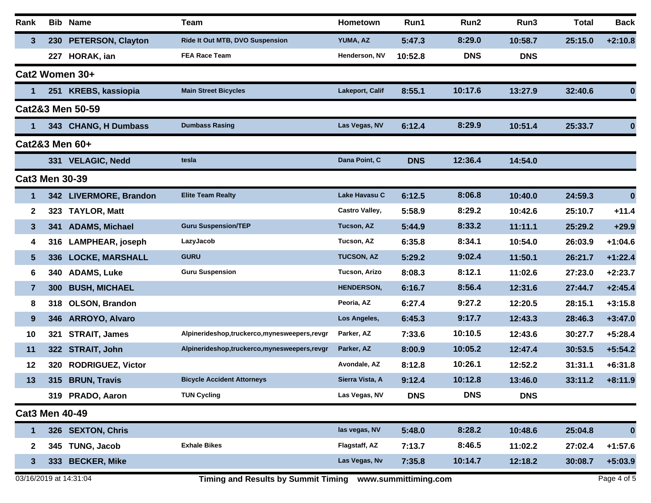| Rank                  |     | <b>Bib Name</b>          | <b>Team</b>                                 | Hometown              | Run1       | Run2       | Run3       | <b>Total</b> | <b>Back</b> |
|-----------------------|-----|--------------------------|---------------------------------------------|-----------------------|------------|------------|------------|--------------|-------------|
| 3                     |     | 230 PETERSON, Clayton    | Ride It Out MTB, DVO Suspension             | YUMA, AZ              | 5:47.3     | 8:29.0     | 10:58.7    | 25:15.0      | $+2:10.8$   |
|                       | 227 | HORAK, ian               | <b>FEA Race Team</b>                        | Henderson, NV         | 10:52.8    | <b>DNS</b> | <b>DNS</b> |              |             |
|                       |     | Cat2 Women 30+           |                                             |                       |            |            |            |              |             |
|                       | 251 | <b>KREBS, kassiopia</b>  | <b>Main Street Bicycles</b>                 | Lakeport, Calif       | 8:55.1     | 10:17.6    | 13:27.9    | 32:40.6      | 0           |
|                       |     | Cat2&3 Men 50-59         |                                             |                       |            |            |            |              |             |
|                       |     | 343 CHANG, H Dumbass     | <b>Dumbass Rasing</b>                       | Las Vegas, NV         | 6:12.4     | 8:29.9     | 10:51.4    | 25:33.7      | 0           |
|                       |     | Cat2&3 Men 60+           |                                             |                       |            |            |            |              |             |
|                       |     | 331 VELAGIC, Nedd        | tesla                                       | Dana Point, C         | <b>DNS</b> | 12:36.4    | 14:54.0    |              |             |
| <b>Cat3 Men 30-39</b> |     |                          |                                             |                       |            |            |            |              |             |
| $\mathbf 1$           |     | 342 LIVERMORE, Brandon   | <b>Elite Team Realty</b>                    | Lake Havasu C         | 6:12.5     | 8:06.8     | 10:40.0    | 24:59.3      | $\bf{0}$    |
| $\mathbf{2}$          | 323 | <b>TAYLOR, Matt</b>      |                                             | <b>Castro Valley,</b> | 5:58.9     | 8:29.2     | 10:42.6    | 25:10.7      | $+11.4$     |
| $\mathbf{3}$          | 341 | <b>ADAMS, Michael</b>    | <b>Guru Suspension/TEP</b>                  | Tucson, AZ            | 5:44.9     | 8:33.2     | 11:11.1    | 25:29.2      | $+29.9$     |
| 4                     | 316 | LAMPHEAR, joseph         | LazyJacob                                   | Tucson, AZ            | 6:35.8     | 8:34.1     | 10:54.0    | 26:03.9      | $+1:04.6$   |
| 5                     | 336 | <b>LOCKE, MARSHALL</b>   | <b>GURU</b>                                 | <b>TUCSON, AZ</b>     | 5:29.2     | 9:02.4     | 11:50.1    | 26:21.7      | $+1:22.4$   |
| 6                     | 340 | <b>ADAMS, Luke</b>       | <b>Guru Suspension</b>                      | Tucson, Arizo         | 8:08.3     | 8:12.1     | 11:02.6    | 27:23.0      | $+2:23.7$   |
| $\overline{7}$        | 300 | <b>BUSH, MICHAEL</b>     |                                             | <b>HENDERSON,</b>     | 6:16.7     | 8:56.4     | 12:31.6    | 27:44.7      | $+2:45.4$   |
| 8                     | 318 | <b>OLSON, Brandon</b>    |                                             | Peoria, AZ            | 6:27.4     | 9:27.2     | 12:20.5    | 28:15.1      | $+3:15.8$   |
| 9                     | 346 | <b>ARROYO, Alvaro</b>    |                                             | Los Angeles,          | 6:45.3     | 9:17.7     | 12:43.3    | 28:46.3      | $+3:47.0$   |
| 10                    | 321 | <b>STRAIT, James</b>     | Alpinerideshop,truckerco,mynesweepers,revgr | Parker, AZ            | 7:33.6     | 10:10.5    | 12:43.6    | 30:27.7      | $+5:28.4$   |
| 11                    | 322 | <b>STRAIT, John</b>      | Alpinerideshop,truckerco,mynesweepers,revgr | Parker, AZ            | 8:00.9     | 10:05.2    | 12:47.4    | 30:53.5      | $+5:54.2$   |
| 12                    | 320 | <b>RODRIGUEZ, Victor</b> |                                             | Avondale, AZ          | 8:12.8     | 10:26.1    | 12:52.2    | 31:31.1      | $+6:31.8$   |
| 13                    | 315 | <b>BRUN, Travis</b>      | <b>Bicycle Accident Attorneys</b>           | Sierra Vista, A       | 9:12.4     | 10:12.8    | 13:46.0    | 33:11.2      | $+8:11.9$   |
|                       |     | 319 PRADO, Aaron         | <b>TUN Cycling</b>                          | Las Vegas, NV         | <b>DNS</b> | <b>DNS</b> | <b>DNS</b> |              |             |
| <b>Cat3 Men 40-49</b> |     |                          |                                             |                       |            |            |            |              |             |
|                       |     | 326 SEXTON, Chris        |                                             | las vegas, NV         | 5:48.0     | 8:28.2     | 10:48.6    | 25:04.8      | 0           |
| $\mathbf{2}$          | 345 | <b>TUNG, Jacob</b>       | <b>Exhale Bikes</b>                         | Flagstaff, AZ         | 7:13.7     | 8:46.5     | 11:02.2    | 27:02.4      | $+1:57.6$   |
| 3.                    | 333 | <b>BECKER, Mike</b>      |                                             | Las Vegas, Nv         | 7:35.8     | 10:14.7    | 12:18.2    | 30:08.7      | $+5:03.9$   |
|                       |     |                          |                                             |                       |            |            |            |              |             |